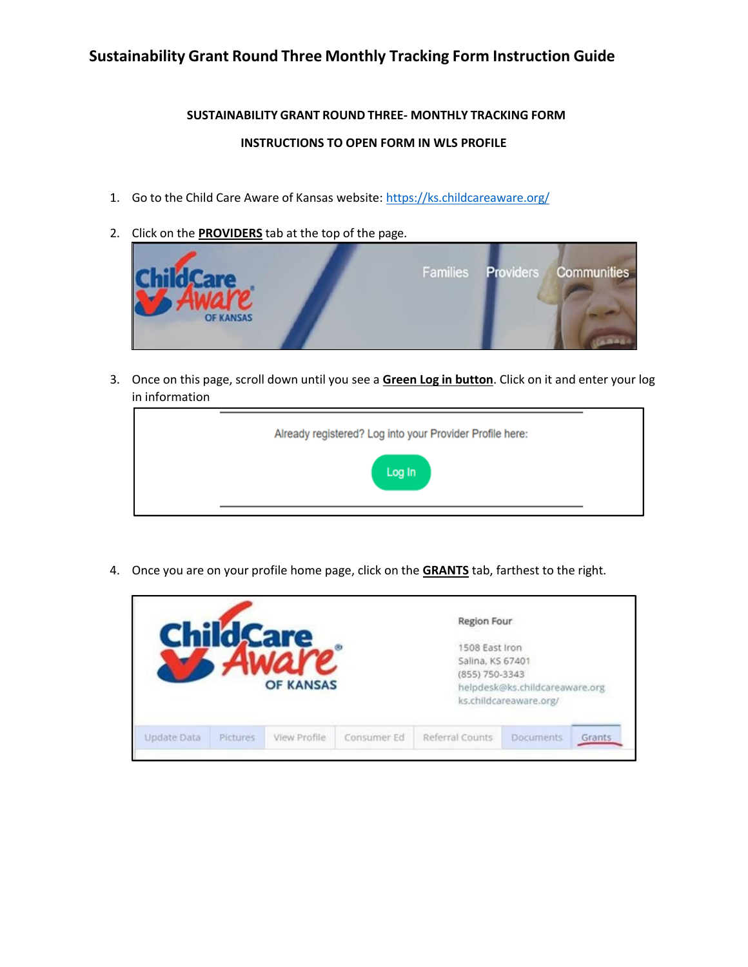## **Sustainability Grant Round Three Monthly Tracking Form Instruction Guide**

## **SUSTAINABILITY GRANT ROUND THREE- MONTHLY TRACKING FORM INSTRUCTIONS TO OPEN FORM IN WLS PROFILE**

- 1. Go to the Child Care Aware of Kansas website: <https://ks.childcareaware.org/>
- 2. Click on the **PROVIDERS** tab at the top of the page.



3. Once on this page, scroll down until you see a **Green Log in button**. Click on it and enter your log in information

| Already registered? Log into your Provider Profile here: |
|----------------------------------------------------------|
| Log In                                                   |

4. Once you are on your profile home page, click on the **GRANTS** tab, farthest to the right.

|                                |                  |             | Region Four                                          |                                                          |        |
|--------------------------------|------------------|-------------|------------------------------------------------------|----------------------------------------------------------|--------|
|                                | <b>OF KANSAS</b> |             | 1508 East Iron<br>Salina, KS 67401<br>(855) 750-3343 | helpdesk@ks.childcareaware.org<br>ks.childcareaware.org/ |        |
| Update Data<br><b>Pictures</b> | View Profile     | Consumer Ed | Referral Counts                                      | <b>Documents</b>                                         | Grants |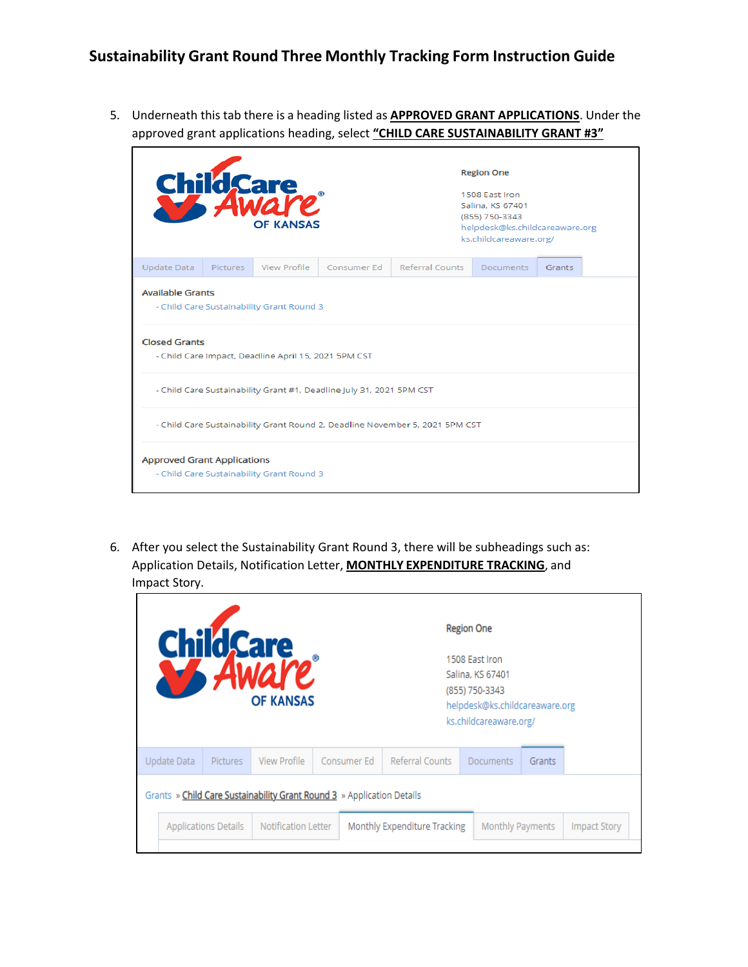5. Underneath this tab there is a heading listed as **APPROVED GRANT APPLICATIONS**. Under the approved grant applications heading, select **"CHILD CARE SUSTAINABILITY GRANT #3"**

|                                    |                                                                                                                                                      | Child Care<br><b>OF KANSAS</b>            |                                                                      | <b>Region One</b><br>1508 East Iron<br>Salina, KS 67401<br>(855) 750-3343<br>helpdesk@ks.childcareaware.org<br>ks.childcareaware.org/ |                  |        |  |  |  |  |  |
|------------------------------------|------------------------------------------------------------------------------------------------------------------------------------------------------|-------------------------------------------|----------------------------------------------------------------------|---------------------------------------------------------------------------------------------------------------------------------------|------------------|--------|--|--|--|--|--|
| <b>Update Data</b>                 | Pictures                                                                                                                                             | View Profile                              | Consumer Ed                                                          | <b>Referral Counts</b>                                                                                                                | <b>Documents</b> | Grants |  |  |  |  |  |
|                                    | <b>Available Grants</b><br>- Child Care Sustainability Grant Round 3<br><b>Closed Grants</b><br>- Child Care Impact, Deadline April 15, 2021 5PM CST |                                           |                                                                      |                                                                                                                                       |                  |        |  |  |  |  |  |
|                                    |                                                                                                                                                      |                                           | - Child Care Sustainability Grant #1, Deadline July 31, 2021 5PM CST |                                                                                                                                       |                  |        |  |  |  |  |  |
|                                    | - Child Care Sustainability Grant Round 2, Deadline November 5, 2021 5PM CST                                                                         |                                           |                                                                      |                                                                                                                                       |                  |        |  |  |  |  |  |
| <b>Approved Grant Applications</b> |                                                                                                                                                      | - Child Care Sustainability Grant Round 3 |                                                                      |                                                                                                                                       |                  |        |  |  |  |  |  |

6. After you select the Sustainability Grant Round 3, there will be subheadings such as: Application Details, Notification Letter, **MONTHLY EXPENDITURE TRACKING**, and Impact Story.

|                                                    |                                                                        |                 |              |                                                                                                                  | <b>Region One</b> |                  |                     |  |  |  |  |
|----------------------------------------------------|------------------------------------------------------------------------|-----------------|--------------|------------------------------------------------------------------------------------------------------------------|-------------------|------------------|---------------------|--|--|--|--|
| ChildCare<br><b>OF KANSAS</b>                      |                                                                        |                 |              | 1508 East Iron<br>Salina, KS 67401<br>(855) 750-3343<br>helpdesk@ks.childcareaware.org<br>ks.childcareaware.org/ |                   |                  |                     |  |  |  |  |
|                                                    | Update Data                                                            | <b>Pictures</b> | View Profile | Consumer Ed                                                                                                      | Referral Counts   | <b>Documents</b> | Grants              |  |  |  |  |
|                                                    | Grants » Child Care Sustainability Grant Round 3 » Application Details |                 |              |                                                                                                                  |                   |                  |                     |  |  |  |  |
| Notification Letter<br><b>Applications Details</b> |                                                                        |                 |              | Monthly Expenditure Tracking                                                                                     | Monthly Payments  |                  | <b>Impact Story</b> |  |  |  |  |